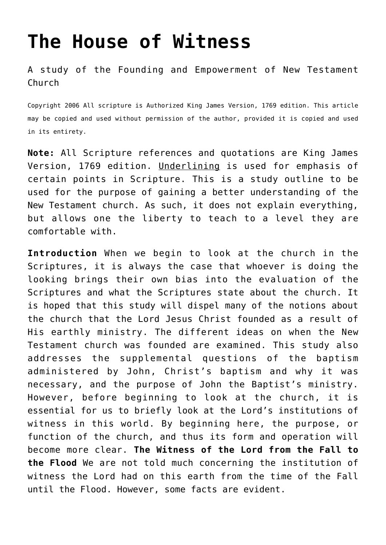# **[The House of Witness](http://reproachofmen.org/the-church/the-house-of-witness/)**

A study of the Founding and Empowerment of New Testament Church

Copyright 2006 All scripture is Authorized King James Version, 1769 edition. This article may be copied and used without permission of the author, provided it is copied and used in its entirety.

**Note:** All Scripture references and quotations are King James Version, 1769 edition. Underlining is used for emphasis of certain points in Scripture. This is a study outline to be used for the purpose of gaining a better understanding of the New Testament church. As such, it does not explain everything, but allows one the liberty to teach to a level they are comfortable with.

**Introduction** When we begin to look at the church in the Scriptures, it is always the case that whoever is doing the looking brings their own bias into the evaluation of the Scriptures and what the Scriptures state about the church. It is hoped that this study will dispel many of the notions about the church that the Lord Jesus Christ founded as a result of His earthly ministry. The different ideas on when the New Testament church was founded are examined. This study also addresses the supplemental questions of the baptism administered by John, Christ's baptism and why it was necessary, and the purpose of John the Baptist's ministry. However, before beginning to look at the church, it is essential for us to briefly look at the Lord's institutions of witness in this world. By beginning here, the purpose, or function of the church, and thus its form and operation will become more clear. **The Witness of the Lord from the Fall to the Flood** We are not told much concerning the institution of witness the Lord had on this earth from the time of the Fall until the Flood. However, some facts are evident.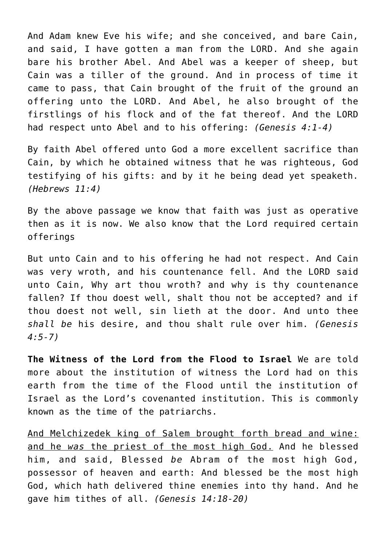And Adam knew Eve his wife; and she conceived, and bare Cain, and said, I have gotten a man from the LORD. And she again bare his brother Abel. And Abel was a keeper of sheep, but Cain was a tiller of the ground. And in process of time it came to pass, that Cain brought of the fruit of the ground an offering unto the LORD. And Abel, he also brought of the firstlings of his flock and of the fat thereof. And the LORD had respect unto Abel and to his offering: *(Genesis 4:1-4)*

By faith Abel offered unto God a more excellent sacrifice than Cain, by which he obtained witness that he was righteous, God testifying of his gifts: and by it he being dead yet speaketh. *(Hebrews 11:4)*

By the above passage we know that faith was just as operative then as it is now. We also know that the Lord required certain offerings

But unto Cain and to his offering he had not respect. And Cain was very wroth, and his countenance fell. And the LORD said unto Cain, Why art thou wroth? and why is thy countenance fallen? If thou doest well, shalt thou not be accepted? and if thou doest not well, sin lieth at the door. And unto thee *shall be* his desire, and thou shalt rule over him. *(Genesis 4:5-7)*

**The Witness of the Lord from the Flood to Israel** We are told more about the institution of witness the Lord had on this earth from the time of the Flood until the institution of Israel as the Lord's covenanted institution. This is commonly known as the time of the patriarchs.

And Melchizedek king of Salem brought forth bread and wine: and he *was* the priest of the most high God. And he blessed him, and said, Blessed *be* Abram of the most high God, possessor of heaven and earth: And blessed be the most high God, which hath delivered thine enemies into thy hand. And he gave him tithes of all. *(Genesis 14:18-20)*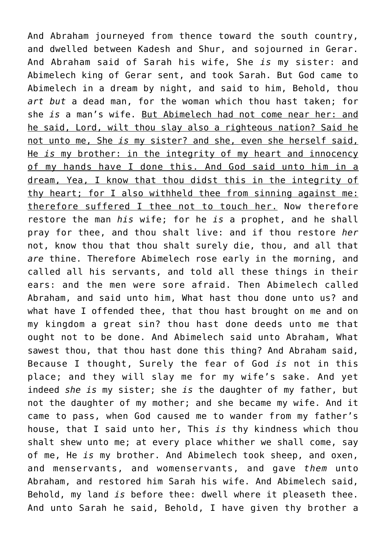And Abraham journeyed from thence toward the south country, and dwelled between Kadesh and Shur, and sojourned in Gerar. And Abraham said of Sarah his wife, She *is* my sister: and Abimelech king of Gerar sent, and took Sarah. But God came to Abimelech in a dream by night, and said to him, Behold, thou *art but* a dead man, for the woman which thou hast taken; for she *is* a man's wife. But Abimelech had not come near her: and he said, Lord, wilt thou slay also a righteous nation? Said he not unto me, She *is* my sister? and she, even she herself said, He *is* my brother: in the integrity of my heart and innocency of my hands have I done this. And God said unto him in a dream, Yea, I know that thou didst this in the integrity of thy heart; for I also withheld thee from sinning against me: therefore suffered I thee not to touch her. Now therefore restore the man *his* wife; for he *is* a prophet, and he shall pray for thee, and thou shalt live: and if thou restore *her* not, know thou that thou shalt surely die, thou, and all that *are* thine. Therefore Abimelech rose early in the morning, and called all his servants, and told all these things in their ears: and the men were sore afraid. Then Abimelech called Abraham, and said unto him, What hast thou done unto us? and what have I offended thee, that thou hast brought on me and on my kingdom a great sin? thou hast done deeds unto me that ought not to be done. And Abimelech said unto Abraham, What sawest thou, that thou hast done this thing? And Abraham said, Because I thought, Surely the fear of God *is* not in this place; and they will slay me for my wife's sake. And yet indeed *she is* my sister; she *is* the daughter of my father, but not the daughter of my mother; and she became my wife. And it came to pass, when God caused me to wander from my father's house, that I said unto her, This *is* thy kindness which thou shalt shew unto me; at every place whither we shall come, say of me, He *is* my brother. And Abimelech took sheep, and oxen, and menservants, and womenservants, and gave *them* unto Abraham, and restored him Sarah his wife. And Abimelech said, Behold, my land *is* before thee: dwell where it pleaseth thee. And unto Sarah he said, Behold, I have given thy brother a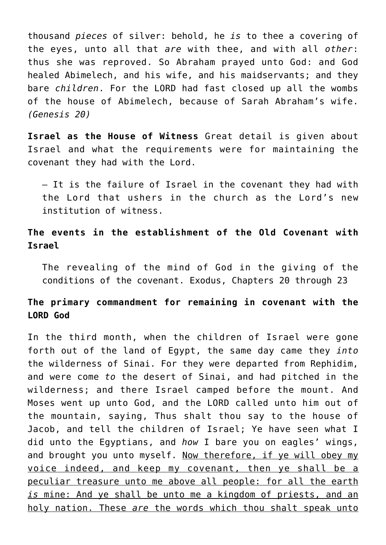thousand *pieces* of silver: behold, he *is* to thee a covering of the eyes, unto all that *are* with thee, and with all *other*: thus she was reproved. So Abraham prayed unto God: and God healed Abimelech, and his wife, and his maidservants; and they bare *children*. For the LORD had fast closed up all the wombs of the house of Abimelech, because of Sarah Abraham's wife. *(Genesis 20)*

**Israel as the House of Witness** Great detail is given about Israel and what the requirements were for maintaining the covenant they had with the Lord.

— It is the failure of Israel in the covenant they had with the Lord that ushers in the church as the Lord's new institution of witness.

**The events in the establishment of the Old Covenant with Israel**

The revealing of the mind of God in the giving of the conditions of the covenant. Exodus, Chapters 20 through 23

# **The primary commandment for remaining in covenant with the LORD God**

In the third month, when the children of Israel were gone forth out of the land of Egypt, the same day came they *into* the wilderness of Sinai. For they were departed from Rephidim, and were come *to* the desert of Sinai, and had pitched in the wilderness; and there Israel camped before the mount. And Moses went up unto God, and the LORD called unto him out of the mountain, saying, Thus shalt thou say to the house of Jacob, and tell the children of Israel; Ye have seen what I did unto the Egyptians, and *how* I bare you on eagles' wings, and brought you unto myself. Now therefore, if ye will obey my voice indeed, and keep my covenant, then ye shall be a peculiar treasure unto me above all people: for all the earth *is* mine: And ye shall be unto me a kingdom of priests, and an holy nation. These *are* the words which thou shalt speak unto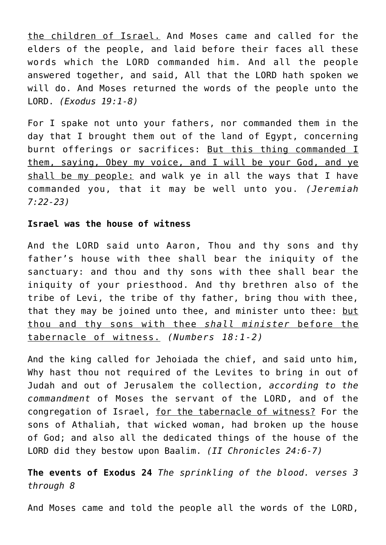the children of Israel. And Moses came and called for the elders of the people, and laid before their faces all these words which the LORD commanded him. And all the people answered together, and said, All that the LORD hath spoken we will do. And Moses returned the words of the people unto the LORD. *(Exodus 19:1-8)*

For I spake not unto your fathers, nor commanded them in the day that I brought them out of the land of Egypt, concerning burnt offerings or sacrifices: But this thing commanded I them, saying, Obey my voice, and I will be your God, and ye shall be my people: and walk ye in all the ways that I have commanded you, that it may be well unto you. *(Jeremiah 7:22-23)*

#### **Israel was the house of witness**

And the LORD said unto Aaron, Thou and thy sons and thy father's house with thee shall bear the iniquity of the sanctuary: and thou and thy sons with thee shall bear the iniquity of your priesthood. And thy brethren also of the tribe of Levi, the tribe of thy father, bring thou with thee, that they may be joined unto thee, and minister unto thee: but thou and thy sons with thee *shall minister* before the tabernacle of witness. *(Numbers 18:1-2)*

And the king called for Jehoiada the chief, and said unto him, Why hast thou not required of the Levites to bring in out of Judah and out of Jerusalem the collection, *according to the commandment* of Moses the servant of the LORD, and of the congregation of Israel, for the tabernacle of witness? For the sons of Athaliah, that wicked woman, had broken up the house of God; and also all the dedicated things of the house of the LORD did they bestow upon Baalim. *(II Chronicles 24:6-7)*

**The events of Exodus 24** *The sprinkling of the blood. verses 3 through 8*

And Moses came and told the people all the words of the LORD,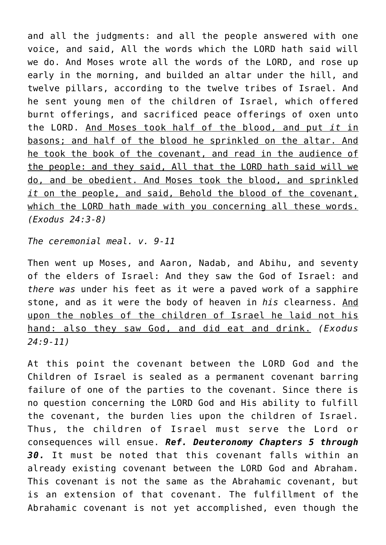and all the judgments: and all the people answered with one voice, and said, All the words which the LORD hath said will we do. And Moses wrote all the words of the LORD, and rose up early in the morning, and builded an altar under the hill, and twelve pillars, according to the twelve tribes of Israel. And he sent young men of the children of Israel, which offered burnt offerings, and sacrificed peace offerings of oxen unto the LORD. And Moses took half of the blood, and put *it* in basons; and half of the blood he sprinkled on the altar. And he took the book of the covenant, and read in the audience of the people: and they said, All that the LORD hath said will we do, and be obedient. And Moses took the blood, and sprinkled *it* on the people, and said, Behold the blood of the covenant, which the LORD hath made with you concerning all these words. *(Exodus 24:3-8)*

*The ceremonial meal. v. 9-11*

Then went up Moses, and Aaron, Nadab, and Abihu, and seventy of the elders of Israel: And they saw the God of Israel: and *there was* under his feet as it were a paved work of a sapphire stone, and as it were the body of heaven in *his* clearness. And upon the nobles of the children of Israel he laid not his hand: also they saw God, and did eat and drink. *(Exodus 24:9-11)*

At this point the covenant between the LORD God and the Children of Israel is sealed as a permanent covenant barring failure of one of the parties to the covenant. Since there is no question concerning the LORD God and His ability to fulfill the covenant, the burden lies upon the children of Israel. Thus, the children of Israel must serve the Lord or consequences will ensue. *Ref. Deuteronomy Chapters 5 through 30.* It must be noted that this covenant falls within an already existing covenant between the LORD God and Abraham. This covenant is not the same as the Abrahamic covenant, but is an extension of that covenant. The fulfillment of the Abrahamic covenant is not yet accomplished, even though the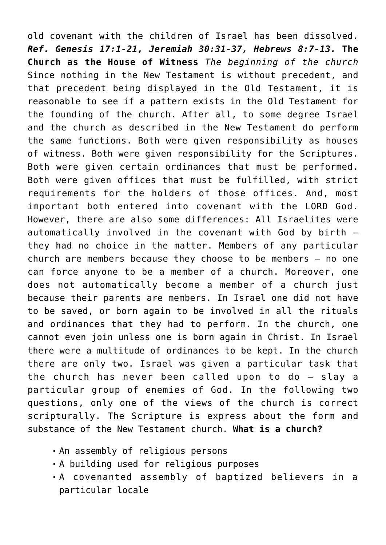old covenant with the children of Israel has been dissolved. *Ref. Genesis 17:1-21, Jeremiah 30:31-37, Hebrews 8:7-13.* **The Church as the House of Witness** *The beginning of the church* Since nothing in the New Testament is without precedent, and that precedent being displayed in the Old Testament, it is reasonable to see if a pattern exists in the Old Testament for the founding of the church. After all, to some degree Israel and the church as described in the New Testament do perform the same functions. Both were given responsibility as houses of witness. Both were given responsibility for the Scriptures. Both were given certain ordinances that must be performed. Both were given offices that must be fulfilled, with strict requirements for the holders of those offices. And, most important both entered into covenant with the LORD God. However, there are also some differences: All Israelites were automatically involved in the covenant with God by birth they had no choice in the matter. Members of any particular church are members because they choose to be members — no one can force anyone to be a member of a church. Moreover, one does not automatically become a member of a church just because their parents are members. In Israel one did not have to be saved, or born again to be involved in all the rituals and ordinances that they had to perform. In the church, one cannot even join unless one is born again in Christ. In Israel there were a multitude of ordinances to be kept. In the church there are only two. Israel was given a particular task that the church has never been called upon to do — slay a particular group of enemies of God. In the following two questions, only one of the views of the church is correct scripturally. The Scripture is express about the form and substance of the New Testament church. **What is a church?**

- An assembly of religious persons
- A building used for religious purposes
- A covenanted assembly of baptized believers in a particular locale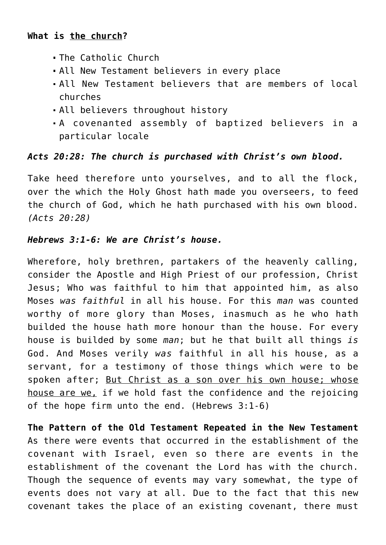## **What is the church?**

- The Catholic Church
- All New Testament believers in every place
- All New Testament believers that are members of local churches
- All believers throughout history
- A covenanted assembly of baptized believers in a particular locale

# *Acts 20:28: The church is purchased with Christ's own blood.*

Take heed therefore unto yourselves, and to all the flock, over the which the Holy Ghost hath made you overseers, to feed the church of God, which he hath purchased with his own blood. *(Acts 20:28)*

## *Hebrews 3:1-6: We are Christ's house.*

Wherefore, holy brethren, partakers of the heavenly calling, consider the Apostle and High Priest of our profession, Christ Jesus; Who was faithful to him that appointed him, as also Moses *was faithful* in all his house. For this *man* was counted worthy of more glory than Moses, inasmuch as he who hath builded the house hath more honour than the house. For every house is builded by some *man*; but he that built all things *is* God. And Moses verily *was* faithful in all his house, as a servant, for a testimony of those things which were to be spoken after; But Christ as a son over his own house; whose house are we, if we hold fast the confidence and the rejoicing of the hope firm unto the end. (Hebrews 3:1-6)

**The Pattern of the Old Testament Repeated in the New Testament** As there were events that occurred in the establishment of the covenant with Israel, even so there are events in the establishment of the covenant the Lord has with the church. Though the sequence of events may vary somewhat, the type of events does not vary at all. Due to the fact that this new covenant takes the place of an existing covenant, there must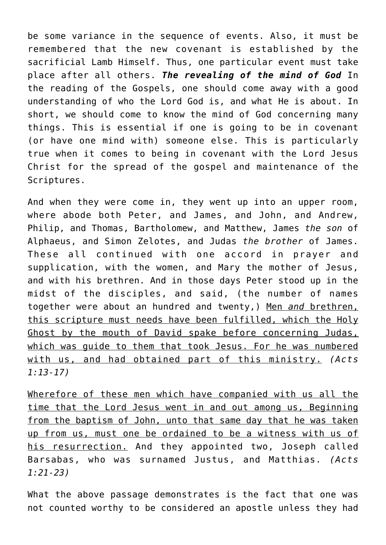be some variance in the sequence of events. Also, it must be remembered that the new covenant is established by the sacrificial Lamb Himself. Thus, one particular event must take place after all others. *The revealing of the mind of God* In the reading of the Gospels, one should come away with a good understanding of who the Lord God is, and what He is about. In short, we should come to know the mind of God concerning many things. This is essential if one is going to be in covenant (or have one mind with) someone else. This is particularly true when it comes to being in covenant with the Lord Jesus Christ for the spread of the gospel and maintenance of the Scriptures.

And when they were come in, they went up into an upper room, where abode both Peter, and James, and John, and Andrew, Philip, and Thomas, Bartholomew, and Matthew, James *the son* of Alphaeus, and Simon Zelotes, and Judas *the brother* of James. These all continued with one accord in prayer and supplication, with the women, and Mary the mother of Jesus, and with his brethren. And in those days Peter stood up in the midst of the disciples, and said, (the number of names together were about an hundred and twenty,) Men *and* brethren, this scripture must needs have been fulfilled, which the Holy Ghost by the mouth of David spake before concerning Judas, which was guide to them that took Jesus. For he was numbered with us, and had obtained part of this ministry. *(Acts 1:13-17)*

Wherefore of these men which have companied with us all the time that the Lord Jesus went in and out among us, Beginning from the baptism of John, unto that same day that he was taken up from us, must one be ordained to be a witness with us of his resurrection. And they appointed two, Joseph called Barsabas, who was surnamed Justus, and Matthias. *(Acts 1:21-23)*

What the above passage demonstrates is the fact that one was not counted worthy to be considered an apostle unless they had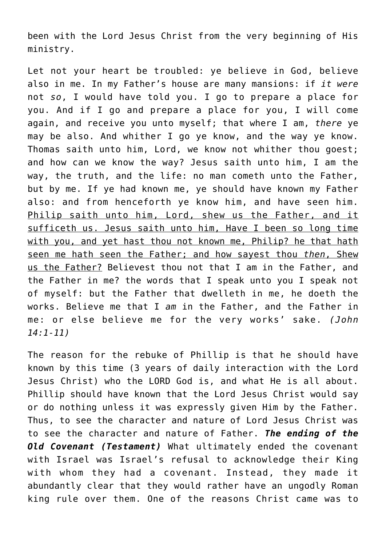been with the Lord Jesus Christ from the very beginning of His ministry.

Let not your heart be troubled: ye believe in God, believe also in me. In my Father's house are many mansions: if *it were* not *so*, I would have told you. I go to prepare a place for you. And if I go and prepare a place for you, I will come again, and receive you unto myself; that where I am, *there* ye may be also. And whither I go ye know, and the way ye know. Thomas saith unto him, Lord, we know not whither thou goest; and how can we know the way? Jesus saith unto him, I am the way, the truth, and the life: no man cometh unto the Father, but by me. If ye had known me, ye should have known my Father also: and from henceforth ye know him, and have seen him. Philip saith unto him, Lord, shew us the Father, and it sufficeth us. Jesus saith unto him, Have I been so long time with you, and yet hast thou not known me, Philip? he that hath seen me hath seen the Father; and how sayest thou *then*, Shew us the Father? Believest thou not that I am in the Father, and the Father in me? the words that I speak unto you I speak not of myself: but the Father that dwelleth in me, he doeth the works. Believe me that I *am* in the Father, and the Father in me: or else believe me for the very works' sake. *(John 14:1-11)*

The reason for the rebuke of Phillip is that he should have known by this time (3 years of daily interaction with the Lord Jesus Christ) who the LORD God is, and what He is all about. Phillip should have known that the Lord Jesus Christ would say or do nothing unless it was expressly given Him by the Father. Thus, to see the character and nature of Lord Jesus Christ was to see the character and nature of Father. *The ending of the Old Covenant (Testament)* What ultimately ended the covenant with Israel was Israel's refusal to acknowledge their King with whom they had a covenant. Instead, they made it abundantly clear that they would rather have an ungodly Roman king rule over them. One of the reasons Christ came was to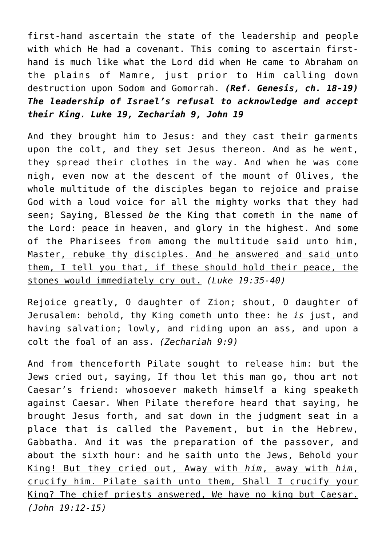first-hand ascertain the state of the leadership and people with which He had a covenant. This coming to ascertain firsthand is much like what the Lord did when He came to Abraham on the plains of Mamre, just prior to Him calling down destruction upon Sodom and Gomorrah. *(Ref. Genesis, ch. 18-19) The leadership of Israel's refusal to acknowledge and accept their King. Luke 19, Zechariah 9, John 19*

And they brought him to Jesus: and they cast their garments upon the colt, and they set Jesus thereon. And as he went, they spread their clothes in the way. And when he was come nigh, even now at the descent of the mount of Olives, the whole multitude of the disciples began to rejoice and praise God with a loud voice for all the mighty works that they had seen; Saying, Blessed *be* the King that cometh in the name of the Lord: peace in heaven, and glory in the highest. And some of the Pharisees from among the multitude said unto him, Master, rebuke thy disciples. And he answered and said unto them, I tell you that, if these should hold their peace, the stones would immediately cry out. *(Luke 19:35-40)*

Rejoice greatly, O daughter of Zion; shout, O daughter of Jerusalem: behold, thy King cometh unto thee: he *is* just, and having salvation; lowly, and riding upon an ass, and upon a colt the foal of an ass. *(Zechariah 9:9)*

And from thenceforth Pilate sought to release him: but the Jews cried out, saying, If thou let this man go, thou art not Caesar's friend: whosoever maketh himself a king speaketh against Caesar. When Pilate therefore heard that saying, he brought Jesus forth, and sat down in the judgment seat in a place that is called the Pavement, but in the Hebrew, Gabbatha. And it was the preparation of the passover, and about the sixth hour: and he saith unto the Jews, Behold your King! But they cried out, Away with *him*, away with *him*, crucify him. Pilate saith unto them, Shall I crucify your King? The chief priests answered, We have no king but Caesar. *(John 19:12-15)*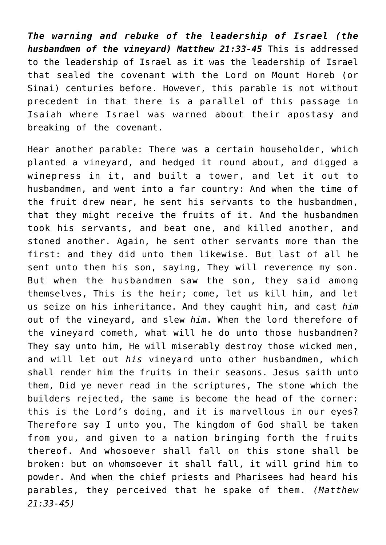*The warning and rebuke of the leadership of Israel (the husbandmen of the vineyard) Matthew 21:33-45* This is addressed to the leadership of Israel as it was the leadership of Israel that sealed the covenant with the Lord on Mount Horeb (or Sinai) centuries before. However, this parable is not without precedent in that there is a parallel of this passage in Isaiah where Israel was warned about their apostasy and breaking of the covenant.

Hear another parable: There was a certain householder, which planted a vineyard, and hedged it round about, and digged a winepress in it, and built a tower, and let it out to husbandmen, and went into a far country: And when the time of the fruit drew near, he sent his servants to the husbandmen, that they might receive the fruits of it. And the husbandmen took his servants, and beat one, and killed another, and stoned another. Again, he sent other servants more than the first: and they did unto them likewise. But last of all he sent unto them his son, saying, They will reverence my son. But when the husbandmen saw the son, they said among themselves, This is the heir; come, let us kill him, and let us seize on his inheritance. And they caught him, and cast *him* out of the vineyard, and slew *him*. When the lord therefore of the vineyard cometh, what will he do unto those husbandmen? They say unto him, He will miserably destroy those wicked men, and will let out *his* vineyard unto other husbandmen, which shall render him the fruits in their seasons. Jesus saith unto them, Did ye never read in the scriptures, The stone which the builders rejected, the same is become the head of the corner: this is the Lord's doing, and it is marvellous in our eyes? Therefore say I unto you, The kingdom of God shall be taken from you, and given to a nation bringing forth the fruits thereof. And whosoever shall fall on this stone shall be broken: but on whomsoever it shall fall, it will grind him to powder. And when the chief priests and Pharisees had heard his parables, they perceived that he spake of them. *(Matthew 21:33-45)*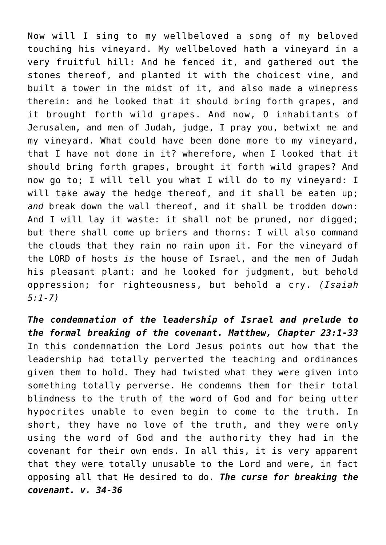Now will I sing to my wellbeloved a song of my beloved touching his vineyard. My wellbeloved hath a vineyard in a very fruitful hill: And he fenced it, and gathered out the stones thereof, and planted it with the choicest vine, and built a tower in the midst of it, and also made a winepress therein: and he looked that it should bring forth grapes, and it brought forth wild grapes. And now, O inhabitants of Jerusalem, and men of Judah, judge, I pray you, betwixt me and my vineyard. What could have been done more to my vineyard, that I have not done in it? wherefore, when I looked that it should bring forth grapes, brought it forth wild grapes? And now go to; I will tell you what I will do to my vineyard: I will take away the hedge thereof, and it shall be eaten up; *and* break down the wall thereof, and it shall be trodden down: And I will lay it waste: it shall not be pruned, nor digged; but there shall come up briers and thorns: I will also command the clouds that they rain no rain upon it. For the vineyard of the LORD of hosts *is* the house of Israel, and the men of Judah his pleasant plant: and he looked for judgment, but behold oppression; for righteousness, but behold a cry. *(Isaiah 5:1-7)*

*The condemnation of the leadership of Israel and prelude to the formal breaking of the covenant. Matthew, Chapter 23:1-33* In this condemnation the Lord Jesus points out how that the leadership had totally perverted the teaching and ordinances given them to hold. They had twisted what they were given into something totally perverse. He condemns them for their total blindness to the truth of the word of God and for being utter hypocrites unable to even begin to come to the truth. In short, they have no love of the truth, and they were only using the word of God and the authority they had in the covenant for their own ends. In all this, it is very apparent that they were totally unusable to the Lord and were, in fact opposing all that He desired to do. *The curse for breaking the covenant. v. 34-36*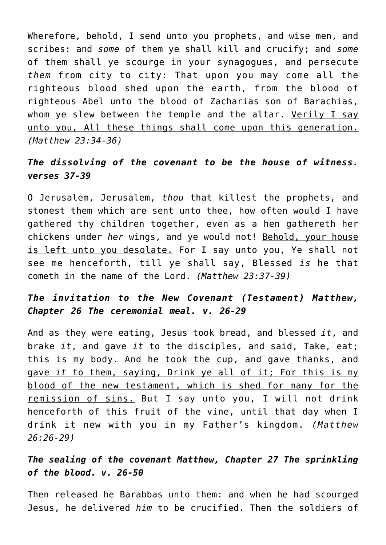Wherefore, behold, I send unto you prophets, and wise men, and scribes: and *some* of them ye shall kill and crucify; and *some* of them shall ye scourge in your synagogues, and persecute *them* from city to city: That upon you may come all the righteous blood shed upon the earth, from the blood of righteous Abel unto the blood of Zacharias son of Barachias, whom ye slew between the temple and the altar. Verily I say unto you, All these things shall come upon this generation. *(Matthew 23:34-36)*

# *The dissolving of the covenant to be the house of witness. verses 37-39*

O Jerusalem, Jerusalem, *thou* that killest the prophets, and stonest them which are sent unto thee, how often would I have gathered thy children together, even as a hen gathereth her chickens under *her* wings, and ye would not! Behold, your house is left unto you desolate. For I say unto you, Ye shall not see me henceforth, till ye shall say, Blessed *is* he that cometh in the name of the Lord. *(Matthew 23:37-39)*

# *The invitation to the New Covenant (Testament) Matthew, Chapter 26 The ceremonial meal. v. 26-29*

And as they were eating, Jesus took bread, and blessed *it*, and brake *it*, and gave *it* to the disciples, and said, Take, eat; this is my body. And he took the cup, and gave thanks, and gave *it* to them, saying, Drink ye all of it; For this is my blood of the new testament, which is shed for many for the remission of sins. But I say unto you, I will not drink henceforth of this fruit of the vine, until that day when I drink it new with you in my Father's kingdom. *(Matthew 26:26-29)*

# *The sealing of the covenant Matthew, Chapter 27 The sprinkling of the blood. v. 26-50*

Then released he Barabbas unto them: and when he had scourged Jesus, he delivered *him* to be crucified. Then the soldiers of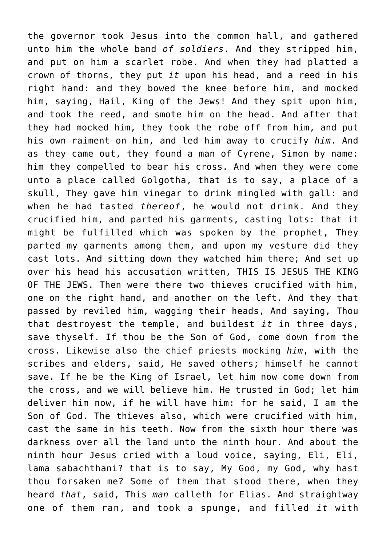the governor took Jesus into the common hall, and gathered unto him the whole band *of soldiers*. And they stripped him, and put on him a scarlet robe. And when they had platted a crown of thorns, they put *it* upon his head, and a reed in his right hand: and they bowed the knee before him, and mocked him, saying, Hail, King of the Jews! And they spit upon him, and took the reed, and smote him on the head. And after that they had mocked him, they took the robe off from him, and put his own raiment on him, and led him away to crucify *him*. And as they came out, they found a man of Cyrene, Simon by name: him they compelled to bear his cross. And when they were come unto a place called Golgotha, that is to say, a place of a skull, They gave him vinegar to drink mingled with gall: and when he had tasted *thereof*, he would not drink. And they crucified him, and parted his garments, casting lots: that it might be fulfilled which was spoken by the prophet, They parted my garments among them, and upon my vesture did they cast lots. And sitting down they watched him there; And set up over his head his accusation written, THIS IS JESUS THE KING OF THE JEWS. Then were there two thieves crucified with him, one on the right hand, and another on the left. And they that passed by reviled him, wagging their heads, And saying, Thou that destroyest the temple, and buildest *it* in three days, save thyself. If thou be the Son of God, come down from the cross. Likewise also the chief priests mocking *him*, with the scribes and elders, said, He saved others; himself he cannot save. If he be the King of Israel, let him now come down from the cross, and we will believe him. He trusted in God; let him deliver him now, if he will have him: for he said, I am the Son of God. The thieves also, which were crucified with him, cast the same in his teeth. Now from the sixth hour there was darkness over all the land unto the ninth hour. And about the ninth hour Jesus cried with a loud voice, saying, Eli, Eli, lama sabachthani? that is to say, My God, my God, why hast thou forsaken me? Some of them that stood there, when they heard *that*, said, This *man* calleth for Elias. And straightway one of them ran, and took a spunge, and filled *it* with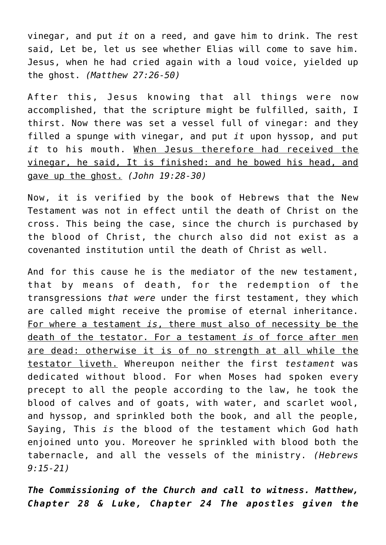vinegar, and put *it* on a reed, and gave him to drink. The rest said, Let be, let us see whether Elias will come to save him. Jesus, when he had cried again with a loud voice, yielded up the ghost. *(Matthew 27:26-50)*

After this, Jesus knowing that all things were now accomplished, that the scripture might be fulfilled, saith, I thirst. Now there was set a vessel full of vinegar: and they filled a spunge with vinegar, and put *it* upon hyssop, and put *it* to his mouth. When Jesus therefore had received the vinegar, he said, It is finished: and he bowed his head, and gave up the ghost. *(John 19:28-30)*

Now, it is verified by the book of Hebrews that the New Testament was not in effect until the death of Christ on the cross. This being the case, since the church is purchased by the blood of Christ, the church also did not exist as a covenanted institution until the death of Christ as well.

And for this cause he is the mediator of the new testament, that by means of death, for the redemption of the transgressions *that were* under the first testament, they which are called might receive the promise of eternal inheritance. For where a testament *is*, there must also of necessity be the death of the testator. For a testament *is* of force after men are dead: otherwise it is of no strength at all while the testator liveth. Whereupon neither the first *testament* was dedicated without blood. For when Moses had spoken every precept to all the people according to the law, he took the blood of calves and of goats, with water, and scarlet wool, and hyssop, and sprinkled both the book, and all the people, Saying, This *is* the blood of the testament which God hath enjoined unto you. Moreover he sprinkled with blood both the tabernacle, and all the vessels of the ministry. *(Hebrews 9:15-21)*

*The Commissioning of the Church and call to witness. Matthew, Chapter 28 & Luke, Chapter 24 The apostles given the*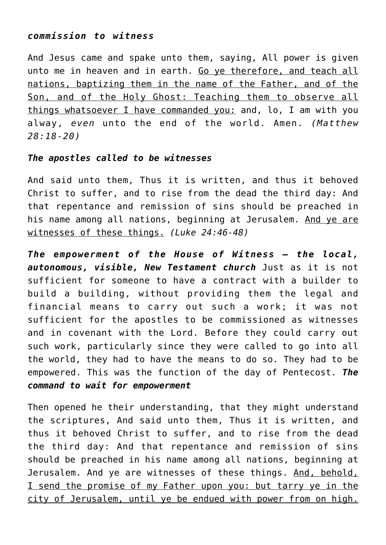### *commission to witness*

And Jesus came and spake unto them, saying, All power is given unto me in heaven and in earth. Go ye therefore, and teach all nations, baptizing them in the name of the Father, and of the Son, and of the Holy Ghost: Teaching them to observe all things whatsoever I have commanded you: and, lo, I am with you alway, *even* unto the end of the world. Amen. *(Matthew 28:18-20)*

## *The apostles called to be witnesses*

And said unto them, Thus it is written, and thus it behoved Christ to suffer, and to rise from the dead the third day: And that repentance and remission of sins should be preached in his name among all nations, beginning at Jerusalem. And ye are witnesses of these things. *(Luke 24:46-48)*

*The empowerment of the House of Witness — the local, autonomous, visible, New Testament church* Just as it is not sufficient for someone to have a contract with a builder to build a building, without providing them the legal and financial means to carry out such a work; it was not sufficient for the apostles to be commissioned as witnesses and in covenant with the Lord. Before they could carry out such work, particularly since they were called to go into all the world, they had to have the means to do so. They had to be empowered. This was the function of the day of Pentecost. *The command to wait for empowerment*

Then opened he their understanding, that they might understand the scriptures, And said unto them, Thus it is written, and thus it behoved Christ to suffer, and to rise from the dead the third day: And that repentance and remission of sins should be preached in his name among all nations, beginning at Jerusalem. And ye are witnesses of these things. And, behold, I send the promise of my Father upon you: but tarry ye in the city of Jerusalem, until ye be endued with power from on high.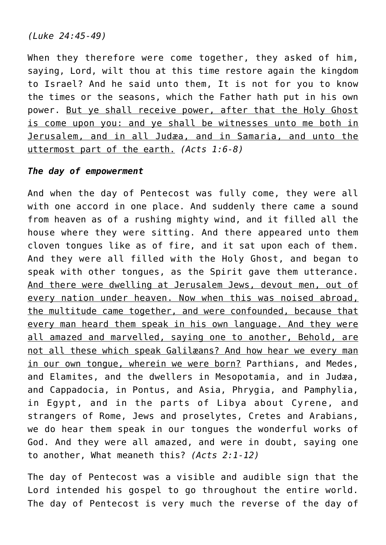*(Luke 24:45-49)*

When they therefore were come together, they asked of him, saying, Lord, wilt thou at this time restore again the kingdom to Israel? And he said unto them, It is not for you to know the times or the seasons, which the Father hath put in his own power. But ye shall receive power, after that the Holy Ghost is come upon you: and ye shall be witnesses unto me both in Jerusalem, and in all Judæa, and in Samaria, and unto the uttermost part of the earth. *(Acts 1:6-8)*

### *The day of empowerment*

And when the day of Pentecost was fully come, they were all with one accord in one place. And suddenly there came a sound from heaven as of a rushing mighty wind, and it filled all the house where they were sitting. And there appeared unto them cloven tongues like as of fire, and it sat upon each of them. And they were all filled with the Holy Ghost, and began to speak with other tongues, as the Spirit gave them utterance. And there were dwelling at Jerusalem Jews, devout men, out of every nation under heaven. Now when this was noised abroad, the multitude came together, and were confounded, because that every man heard them speak in his own language. And they were all amazed and marvelled, saying one to another, Behold, are not all these which speak Galilæans? And how hear we every man in our own tongue, wherein we were born? Parthians, and Medes, and Elamites, and the dwellers in Mesopotamia, and in Judæa, and Cappadocia, in Pontus, and Asia, Phrygia, and Pamphylia, in Egypt, and in the parts of Libya about Cyrene, and strangers of Rome, Jews and proselytes, Cretes and Arabians, we do hear them speak in our tongues the wonderful works of God. And they were all amazed, and were in doubt, saying one to another, What meaneth this? *(Acts 2:1-12)*

The day of Pentecost was a visible and audible sign that the Lord intended his gospel to go throughout the entire world. The day of Pentecost is very much the reverse of the day of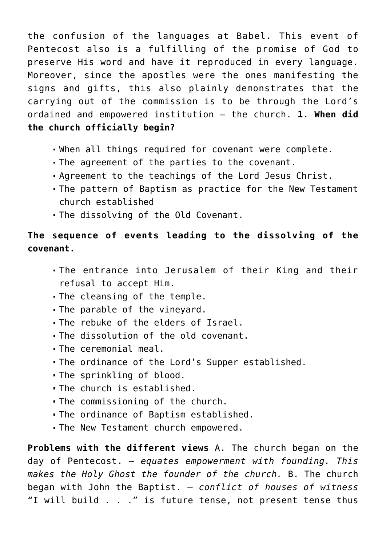the confusion of the languages at Babel. This event of Pentecost also is a fulfilling of the promise of God to preserve His word and have it reproduced in every language. Moreover, since the apostles were the ones manifesting the signs and gifts, this also plainly demonstrates that the carrying out of the commission is to be through the Lord's ordained and empowered institution — the church. **1. When did the church officially begin?**

- When all things required for covenant were complete.
- The agreement of the parties to the covenant.
- Agreement to the teachings of the Lord Jesus Christ.
- The pattern of Baptism as practice for the New Testament church established
- The dissolving of the Old Covenant.

# **The sequence of events leading to the dissolving of the covenant.**

- The entrance into Jerusalem of their King and their refusal to accept Him.
- The cleansing of the temple.
- The parable of the vineyard.
- The rebuke of the elders of Israel.
- The dissolution of the old covenant.
- The ceremonial meal.
- The ordinance of the Lord's Supper established.
- The sprinkling of blood.
- The church is established.
- The commissioning of the church.
- The ordinance of Baptism established.
- The New Testament church empowered.

**Problems with the different views** A. The church began on the day of Pentecost. *— equates empowerment with founding. This makes the Holy Ghost the founder of the church.* B. The church began with John the Baptist. *— conflict of houses of witness* "I will build . . ." is future tense, not present tense thus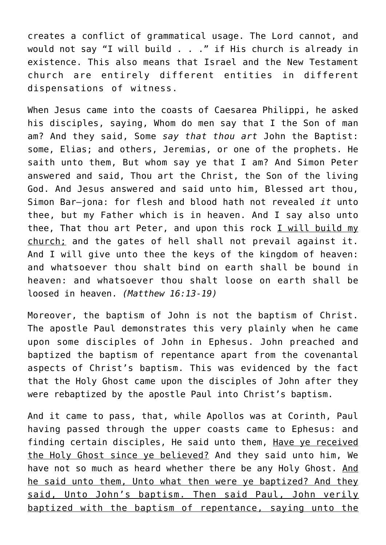creates a conflict of grammatical usage. The Lord cannot, and would not say "I will build . . ." if His church is already in existence. This also means that Israel and the New Testament church are entirely different entities in different dispensations of witness.

When Jesus came into the coasts of Caesarea Philippi, he asked his disciples, saying, Whom do men say that I the Son of man am? And they said, Some *say that thou art* John the Baptist: some, Elias; and others, Jeremias, or one of the prophets. He saith unto them, But whom say ye that I am? And Simon Peter answered and said, Thou art the Christ, the Son of the living God. And Jesus answered and said unto him, Blessed art thou, Simon Bar–jona: for flesh and blood hath not revealed *it* unto thee, but my Father which is in heaven. And I say also unto thee, That thou art Peter, and upon this rock I will build my church; and the gates of hell shall not prevail against it. And I will give unto thee the keys of the kingdom of heaven: and whatsoever thou shalt bind on earth shall be bound in heaven: and whatsoever thou shalt loose on earth shall be loosed in heaven. *(Matthew 16:13-19)*

Moreover, the baptism of John is not the baptism of Christ. The apostle Paul demonstrates this very plainly when he came upon some disciples of John in Ephesus. John preached and baptized the baptism of repentance apart from the covenantal aspects of Christ's baptism. This was evidenced by the fact that the Holy Ghost came upon the disciples of John after they were rebaptized by the apostle Paul into Christ's baptism.

And it came to pass, that, while Apollos was at Corinth, Paul having passed through the upper coasts came to Ephesus: and finding certain disciples, He said unto them, Have ye received the Holy Ghost since ye believed? And they said unto him, We have not so much as heard whether there be any Holy Ghost. And he said unto them, Unto what then were ye baptized? And they said, Unto John's baptism. Then said Paul, John verily baptized with the baptism of repentance, saying unto the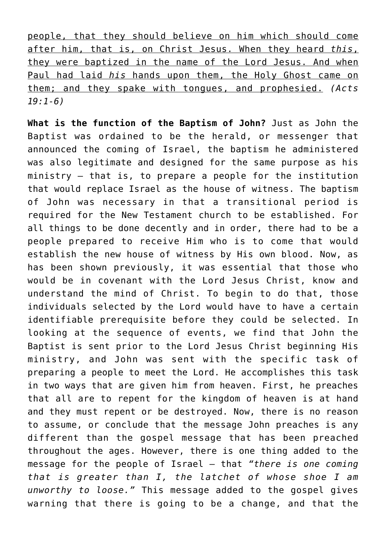people, that they should believe on him which should come after him, that is, on Christ Jesus. When they heard *this*, they were baptized in the name of the Lord Jesus. And when Paul had laid *his* hands upon them, the Holy Ghost came on them; and they spake with tongues, and prophesied. *(Acts 19:1-6)*

**What is the function of the Baptism of John?** Just as John the Baptist was ordained to be the herald, or messenger that announced the coming of Israel, the baptism he administered was also legitimate and designed for the same purpose as his ministry — that is, to prepare a people for the institution that would replace Israel as the house of witness. The baptism of John was necessary in that a transitional period is required for the New Testament church to be established. For all things to be done decently and in order, there had to be a people prepared to receive Him who is to come that would establish the new house of witness by His own blood. Now, as has been shown previously, it was essential that those who would be in covenant with the Lord Jesus Christ, know and understand the mind of Christ. To begin to do that, those individuals selected by the Lord would have to have a certain identifiable prerequisite before they could be selected. In looking at the sequence of events, we find that John the Baptist is sent prior to the Lord Jesus Christ beginning His ministry, and John was sent with the specific task of preparing a people to meet the Lord. He accomplishes this task in two ways that are given him from heaven. First, he preaches that all are to repent for the kingdom of heaven is at hand and they must repent or be destroyed. Now, there is no reason to assume, or conclude that the message John preaches is any different than the gospel message that has been preached throughout the ages. However, there is one thing added to the message for the people of Israel — that *"there is one coming that is greater than I, the latchet of whose shoe I am unworthy to loose."* This message added to the gospel gives warning that there is going to be a change, and that the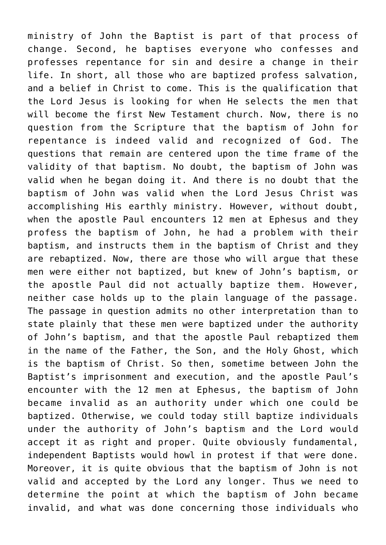ministry of John the Baptist is part of that process of change. Second, he baptises everyone who confesses and professes repentance for sin and desire a change in their life. In short, all those who are baptized profess salvation, and a belief in Christ to come. This is the qualification that the Lord Jesus is looking for when He selects the men that will become the first New Testament church. Now, there is no question from the Scripture that the baptism of John for repentance is indeed valid and recognized of God. The questions that remain are centered upon the time frame of the validity of that baptism. No doubt, the baptism of John was valid when he began doing it. And there is no doubt that the baptism of John was valid when the Lord Jesus Christ was accomplishing His earthly ministry. However, without doubt, when the apostle Paul encounters 12 men at Ephesus and they profess the baptism of John, he had a problem with their baptism, and instructs them in the baptism of Christ and they are rebaptized. Now, there are those who will argue that these men were either not baptized, but knew of John's baptism, or the apostle Paul did not actually baptize them. However, neither case holds up to the plain language of the passage. The passage in question admits no other interpretation than to state plainly that these men were baptized under the authority of John's baptism, and that the apostle Paul rebaptized them in the name of the Father, the Son, and the Holy Ghost, which is the baptism of Christ. So then, sometime between John the Baptist's imprisonment and execution, and the apostle Paul's encounter with the 12 men at Ephesus, the baptism of John became invalid as an authority under which one could be baptized. Otherwise, we could today still baptize individuals under the authority of John's baptism and the Lord would accept it as right and proper. Quite obviously fundamental, independent Baptists would howl in protest if that were done. Moreover, it is quite obvious that the baptism of John is not valid and accepted by the Lord any longer. Thus we need to determine the point at which the baptism of John became invalid, and what was done concerning those individuals who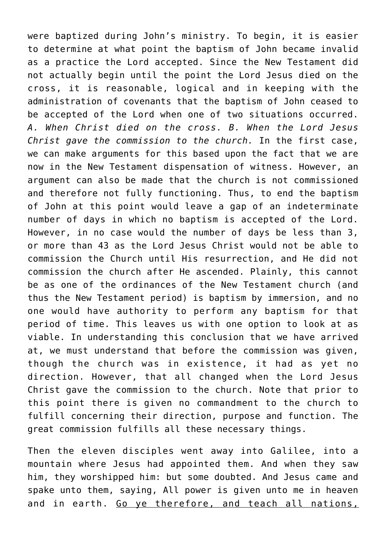were baptized during John's ministry. To begin, it is easier to determine at what point the baptism of John became invalid as a practice the Lord accepted. Since the New Testament did not actually begin until the point the Lord Jesus died on the cross, it is reasonable, logical and in keeping with the administration of covenants that the baptism of John ceased to be accepted of the Lord when one of two situations occurred. *A. When Christ died on the cross. B. When the Lord Jesus Christ gave the commission to the church.* In the first case, we can make arguments for this based upon the fact that we are now in the New Testament dispensation of witness. However, an argument can also be made that the church is not commissioned and therefore not fully functioning. Thus, to end the baptism of John at this point would leave a gap of an indeterminate number of days in which no baptism is accepted of the Lord. However, in no case would the number of days be less than 3, or more than 43 as the Lord Jesus Christ would not be able to commission the Church until His resurrection, and He did not commission the church after He ascended. Plainly, this cannot be as one of the ordinances of the New Testament church (and thus the New Testament period) is baptism by immersion, and no one would have authority to perform any baptism for that period of time. This leaves us with one option to look at as viable. In understanding this conclusion that we have arrived at, we must understand that before the commission was given, though the church was in existence, it had as yet no direction. However, that all changed when the Lord Jesus Christ gave the commission to the church. Note that prior to this point there is given no commandment to the church to fulfill concerning their direction, purpose and function. The great commission fulfills all these necessary things.

Then the eleven disciples went away into Galilee, into a mountain where Jesus had appointed them. And when they saw him, they worshipped him: but some doubted. And Jesus came and spake unto them, saying, All power is given unto me in heaven and in earth. Go ye therefore, and teach all nations,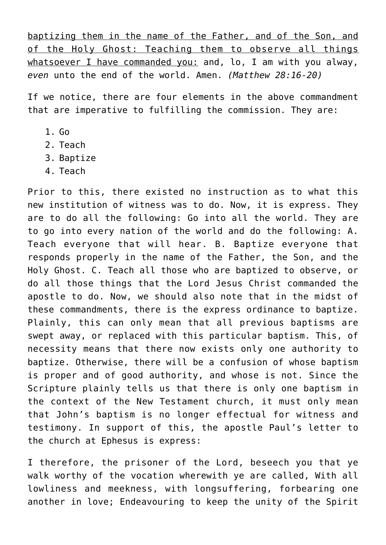baptizing them in the name of the Father, and of the Son, and of the Holy Ghost: Teaching them to observe all things whatsoever I have commanded you: and, lo, I am with you alway, *even* unto the end of the world. Amen. *(Matthew 28:16-20)*

If we notice, there are four elements in the above commandment that are imperative to fulfilling the commission. They are:

- $1.$  Go
- 2. Teach
- 3. Baptize
- 4. Teach

Prior to this, there existed no instruction as to what this new institution of witness was to do. Now, it is express. They are to do all the following: Go into all the world. They are to go into every nation of the world and do the following: A. Teach everyone that will hear. B. Baptize everyone that responds properly in the name of the Father, the Son, and the Holy Ghost. C. Teach all those who are baptized to observe, or do all those things that the Lord Jesus Christ commanded the apostle to do. Now, we should also note that in the midst of these commandments, there is the express ordinance to baptize. Plainly, this can only mean that all previous baptisms are swept away, or replaced with this particular baptism. This, of necessity means that there now exists only one authority to baptize. Otherwise, there will be a confusion of whose baptism is proper and of good authority, and whose is not. Since the Scripture plainly tells us that there is only one baptism in the context of the New Testament church, it must only mean that John's baptism is no longer effectual for witness and testimony. In support of this, the apostle Paul's letter to the church at Ephesus is express:

I therefore, the prisoner of the Lord, beseech you that ye walk worthy of the vocation wherewith ye are called, With all lowliness and meekness, with longsuffering, forbearing one another in love; Endeavouring to keep the unity of the Spirit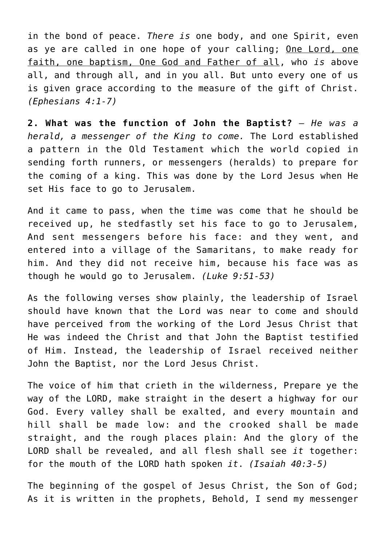in the bond of peace. *There is* one body, and one Spirit, even as ye are called in one hope of your calling; One Lord, one faith, one baptism, One God and Father of all, who *is* above all, and through all, and in you all. But unto every one of us is given grace according to the measure of the gift of Christ. *(Ephesians 4:1-7)*

**2. What was the function of John the Baptist?** *— He was a herald, a messenger of the King to come.* The Lord established a pattern in the Old Testament which the world copied in sending forth runners, or messengers (heralds) to prepare for the coming of a king. This was done by the Lord Jesus when He set His face to go to Jerusalem.

And it came to pass, when the time was come that he should be received up, he stedfastly set his face to go to Jerusalem, And sent messengers before his face: and they went, and entered into a village of the Samaritans, to make ready for him. And they did not receive him, because his face was as though he would go to Jerusalem. *(Luke 9:51-53)*

As the following verses show plainly, the leadership of Israel should have known that the Lord was near to come and should have perceived from the working of the Lord Jesus Christ that He was indeed the Christ and that John the Baptist testified of Him. Instead, the leadership of Israel received neither John the Baptist, nor the Lord Jesus Christ.

The voice of him that crieth in the wilderness, Prepare ye the way of the LORD, make straight in the desert a highway for our God. Every valley shall be exalted, and every mountain and hill shall be made low: and the crooked shall be made straight, and the rough places plain: And the glory of the LORD shall be revealed, and all flesh shall see *it* together: for the mouth of the LORD hath spoken *it*. *(Isaiah 40:3-5)*

The beginning of the gospel of Jesus Christ, the Son of God; As it is written in the prophets, Behold, I send my messenger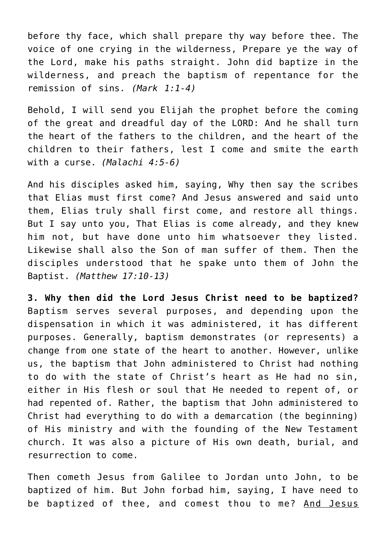before thy face, which shall prepare thy way before thee. The voice of one crying in the wilderness, Prepare ye the way of the Lord, make his paths straight. John did baptize in the wilderness, and preach the baptism of repentance for the remission of sins. *(Mark 1:1-4)*

Behold, I will send you Elijah the prophet before the coming of the great and dreadful day of the LORD: And he shall turn the heart of the fathers to the children, and the heart of the children to their fathers, lest I come and smite the earth with a curse. *(Malachi 4:5-6)*

And his disciples asked him, saying, Why then say the scribes that Elias must first come? And Jesus answered and said unto them, Elias truly shall first come, and restore all things. But I say unto you, That Elias is come already, and they knew him not, but have done unto him whatsoever they listed. Likewise shall also the Son of man suffer of them. Then the disciples understood that he spake unto them of John the Baptist. *(Matthew 17:10-13)*

**3. Why then did the Lord Jesus Christ need to be baptized?** Baptism serves several purposes, and depending upon the dispensation in which it was administered, it has different purposes. Generally, baptism demonstrates (or represents) a change from one state of the heart to another. However, unlike us, the baptism that John administered to Christ had nothing to do with the state of Christ's heart as He had no sin, either in His flesh or soul that He needed to repent of, or had repented of. Rather, the baptism that John administered to Christ had everything to do with a demarcation (the beginning) of His ministry and with the founding of the New Testament church. It was also a picture of His own death, burial, and resurrection to come.

Then cometh Jesus from Galilee to Jordan unto John, to be baptized of him. But John forbad him, saying, I have need to be baptized of thee, and comest thou to me? And Jesus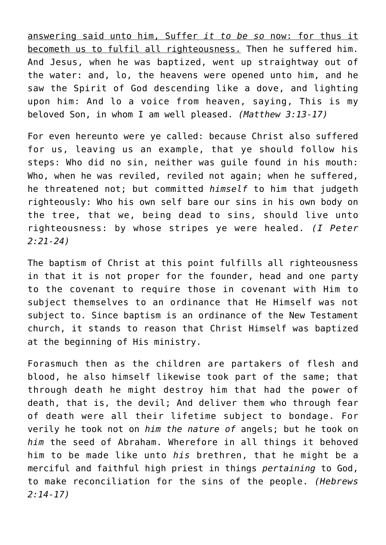answering said unto him, Suffer *it to be so* now: for thus it becometh us to fulfil all righteousness. Then he suffered him. And Jesus, when he was baptized, went up straightway out of the water: and, lo, the heavens were opened unto him, and he saw the Spirit of God descending like a dove, and lighting upon him: And lo a voice from heaven, saying, This is my beloved Son, in whom I am well pleased. *(Matthew 3:13-17)*

For even hereunto were ye called: because Christ also suffered for us, leaving us an example, that ye should follow his steps: Who did no sin, neither was guile found in his mouth: Who, when he was reviled, reviled not again; when he suffered, he threatened not; but committed *himself* to him that judgeth righteously: Who his own self bare our sins in his own body on the tree, that we, being dead to sins, should live unto righteousness: by whose stripes ye were healed. *(I Peter 2:21-24)*

The baptism of Christ at this point fulfills all righteousness in that it is not proper for the founder, head and one party to the covenant to require those in covenant with Him to subject themselves to an ordinance that He Himself was not subject to. Since baptism is an ordinance of the New Testament church, it stands to reason that Christ Himself was baptized at the beginning of His ministry.

Forasmuch then as the children are partakers of flesh and blood, he also himself likewise took part of the same; that through death he might destroy him that had the power of death, that is, the devil; And deliver them who through fear of death were all their lifetime subject to bondage. For verily he took not on *him the nature of* angels; but he took on *him* the seed of Abraham. Wherefore in all things it behoved him to be made like unto *his* brethren, that he might be a merciful and faithful high priest in things *pertaining* to God, to make reconciliation for the sins of the people. *(Hebrews 2:14-17)*